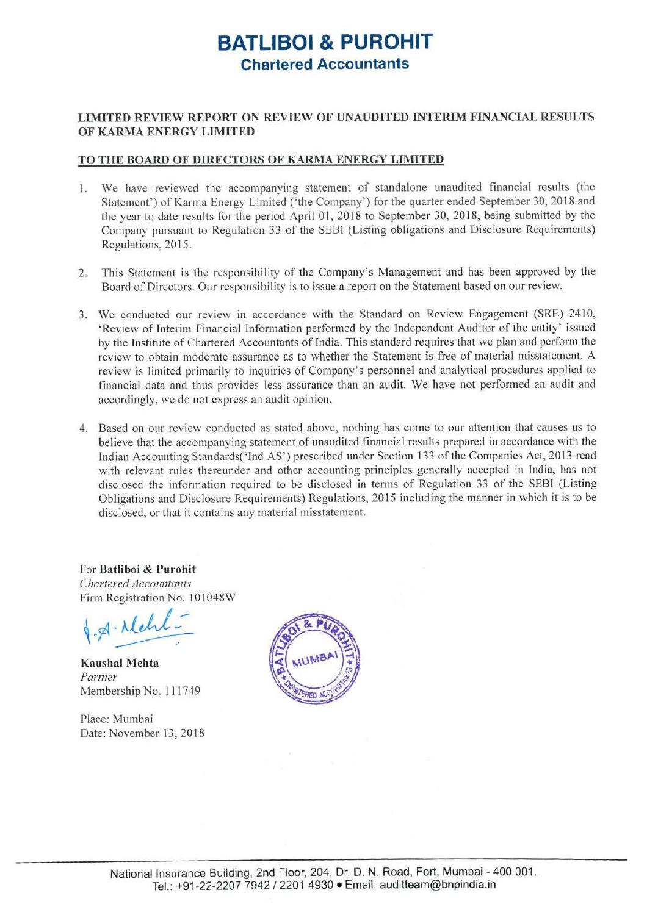# **BATLIBOI & PUROHIT Chartered Accountants**

#### **LIMITED REVIEW REPORT ON REVIEW OF UNAUDITED INTERIM FINANCIAL RESULTS OF KARMA ENERGY LIMITED**

#### **TO THE BOARD OF DIRECTORS OF KARMA ENERGY LIMITED**

- 1. We have reviewed the accompanying statement of standalone unaudited financial results (the Statement') of Karma Energy Limited ('the Company') for the quarter ended September 30, 2018 and the year to date results for the period April 01, 2018 to September 30, 2018, being submitted by the Company pursuant to Regulation 33 of the SEBI (Listing obligations and Disclosure Requirements) Regulations, 2015.
- 2. This Statement is the responsibility of the Company's Management and has been approved by the Board of Directors. Our responsibility is to issue a report on the Statement based on our review.
- 3. We conducted our review in accordance with the Standard on Review Engagement (SRE) 2410, 'Review of Interim Financial Information performed by the Independent Auditor of the entity' issued by the Institute of Chartered Accountants of India. This standard requires that we plan and perform the review to obtain moderate assurance as to whether the Statement is free of material misstatement. A review is limited primarily to inquiries of Company's personnel and analytical procedures applied to financial data and thus provides less assurance than an audit. We have not performed an audit and accordingly, we do not express an audit opinion.
- 4. Based on our review conducted as stated above, nothing has come to our attention that causes us to believe that the accompanying statement of unaudited financial results prepared in accordance with the Indian Accounting Standards('Ind AS') prescribed under Section 133 of the Companies Act, 2013 read with relevant rules thereunder and other accounting principles generally accepted in India, has not disclosed the information required to be disclosed in terms of Regulation 33 of the SEBl (Listing Obligations and Disclosure Requirements) Regulations, 2015 including the manner in which it is to be disclosed, or that it contains any material misstatement.

for **Batliboi** & **Purohit**  *Chartered Accountants*  Firm Registration No. 101048W

 $\sqrt{4 \cdot \lambda}$ 

**Kaushal Mehta**  *Partner*  Membership No. 111749

Place: Mumbai Date: November 13, 2018

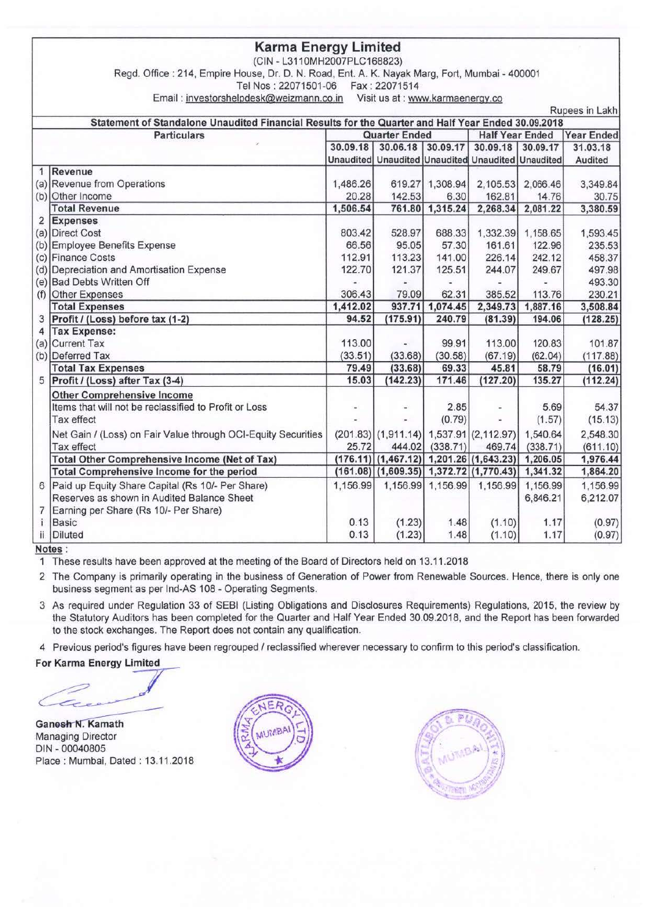#### **Karma Energy Limited**

(CIN - L311 0MH2007PLC168823)

Regd. Office: 214, Empire House, Dr. D. N. Road, Ent. A. K. Nayak Marg, Fort, Mumbai - 400001

Tel Nos: 22071501-06 Fax: 22071514

Email : investorshelpdesk@weizmann.co.in Visit us at : www.karmaenergy.co

Rupees in Lakh **Statement of Standalone Unaudited Financial Results for the Quarter and Half Year Ended 30.09.2018 Particulars Quarter Ended Half Year Ended Year** Ended , **30.09.18 30.06.18 30.09.17 30.09.18 30.09.17 31 .03.18 Unaudited Unaudited** Unaudited Unaudited Unaudited **Audited**  1 **Revenue**  (a) Revenue from Operations 1,486.26 619.27 1,308.94 2,105.53 2,066.46 3,349.84 (b) Other Income 20.28 142.53 6.30 162.81 14.76 30.75<br>
Total Revenue 1.506.54 761.80 1.315.24 2.268.34 2.081.22 3.380.59 **Total Revenue 1,506.54 761.80 1,315.24 2,268.34 2,081.22 3,380.59**  2 **Expenses**  (a) Direct Cost 803.42 528.97 688.33 1,332.39 1,158.65 1,593.45 (b) Employee Benefits Expense **66.56 66.56 66.56 66.56 66.56 66.56 66.56 66.56 66.56 66.56 66.56 66.56 66.56 66.56 66.56 66.56 66.56 66.56 66.56 66.56 66.56 66.56 66.56 66.56 6** (c) Finance Costs 112.91 113.23 141.00 226.14 242.12 458.37 (d) Depreciation and Amortisation Expense 122.70 122.70 121.37 125.51 244.07 249.67 497.98 (e) Bad Debts Written Off 493.30<br>
(f) Other Expenses 306.43 79.09 62.31 385.52 113.76 230.21 (f) Other Expenses Total **Expenses 1,412.02 937.71 1,074.45 2,349.73 1,887.16 3,508.84**  3 **Profit/ (Loss) before tax (1-2) 94.52 (175.91) 240.79 (81.39) 194.06 (128.25)**  4 **Tax Expense:**  (a) Current Tax  $(33.53)$   $(33.68)$   $(30.58)$   $(67.19)$   $(62.04)$   $(17.88)$ (b) Deferred Tax (33.51) (33.68) (30.58) (67.19) (62.04) (117.88) **Total Tax Expenses** 79.49 (33.68) 69.33 45.81 58.79 (16.01)<br>Profit / (Loss) after Tax (3-4) **15.03** (142.23) 171.46 (127.20) 135.27 (112.24) 5 **Profit/ (Loss) after Tax (3-4) 15.03 (142.23) 171.46 (127.20) 135.27 (112.24)**  Other Comprehensive Income Items that will not be reclassified to Profit or Loss  $\begin{bmatrix} 1 & 1 & 1 & 1 \\ 1 & 1 & 1 & 1 \\ 1 & 1 & 1 & 1 \end{bmatrix}$  =  $\begin{bmatrix} 2.85 & - & 5.69 \\ 0.79 & - & 1 \end{bmatrix}$  =  $\begin{bmatrix} 5.69 & 54.37 \\ 1.57 & 1.57 \end{bmatrix}$  =  $\begin{bmatrix} 15.13 & 1 \end{bmatrix}$ Tax effect (1.57)  $(15.13)$ Net Gain / (Loss) on Fair Value through OCI-Equity Securities (201.83) (1,911.14) 1,537.91 (2,112.97) 1,540.64 2,548.30 Tax effect 25.72 444.02 (338.71) 469.74 (338.71) (611.10) Total Other Comprehensive Income **(Net of Tax)** (176.11) (1,467.12) 1,201.26 (1,643.23) 1,206.05 1,976.44 <br>Total Comprehensive Income for the period (161.08) (1,609.35) 1,372.72 (1,770.43) 1,341.32 1,864.20 Total Comprehensive Income for the period **(161.08) (1,609.35) 1,372.72 {1,770.43) 1,341.32 1,864.20**  6 Paid up Equity Share Capital (Rs 10/- Per Share) 1,156.99 1,156.99 1,156.99 1,156.99 1,156.99 1,156.99 Reserves as shown in Audited Balance Sheet **6,846.21** 6,846.21 6,212.07 7 Earning per Share (Rs 10/- Per Share) i Basic 0.13 {1.23) 1.48 (1.10) 1.17 (0.97) ii Diluted 0.13 (1.23) 1.48 (1.10) 1.17 (0.97)

#### **Notes :**

1 These results have been approved at the meeting of the Board of Directors held on 13.11.2018

2 The Company is primarily operating in the business of Generation of Power from Renewable Sources. Hence, there is only one business segment as per Ind-AS 108 - Operating Segments.

3 As required under Regulation 33 of SEBI (Listing Obligations and Disclosures Requirements) Regulations, 2015, the review by the Statutory Auditors has been completed for the Quarter and Half Year Ended 30.09.2018, and the Report has been forwarded to the stock exchanges. The Report does not contain any qualification.

4 Previous period's figures have been regrouped / reclassified wherever necessary to confirm to this period's classification.

the Statutory Auditors has been comp<br>to the stock exchanges. The Report d<br>4 Previous period's figures have been m<br>For Karma Energy Limited<br>Ganesh N. Kamath

**Ganesh N. Kamath** Managing Director DIN - 00040805 Place: Mumbai, Dated : 13.11.2018